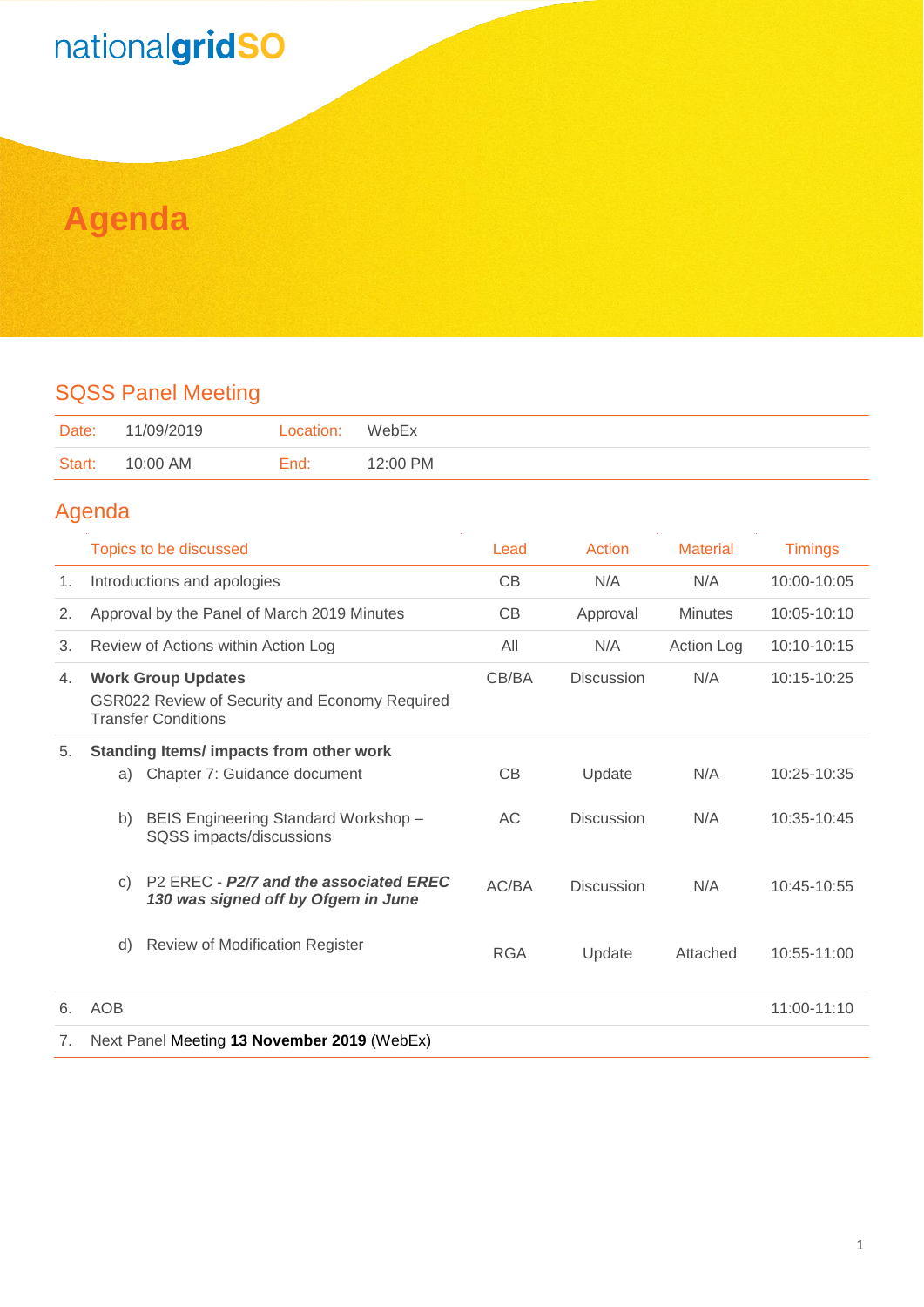## nationalgridSO

### **Agenda**

#### SQSS Panel Meeting

| Date:  | 11/09/2019 | Location: | WebEx    |
|--------|------------|-----------|----------|
| Start: | 10:00 AM   | End:      | 12:00 PM |

#### Agenda

|    | Topics to be discussed                                                                                                 | Lead       | Action            | <b>Material</b> | <b>Timings</b> |
|----|------------------------------------------------------------------------------------------------------------------------|------------|-------------------|-----------------|----------------|
| 1. | Introductions and apologies                                                                                            | CB         | N/A               | N/A             | 10:00-10:05    |
| 2. | Approval by the Panel of March 2019 Minutes                                                                            | CB         | Approval          | <b>Minutes</b>  | 10:05-10:10    |
| 3. | Review of Actions within Action Log                                                                                    | All        | N/A               | Action Log      | 10:10-10:15    |
| 4. | <b>Work Group Updates</b><br>GSR022 Review of Security and Economy Required<br><b>Transfer Conditions</b>              | CB/BA      | <b>Discussion</b> | N/A             | 10:15-10:25    |
| 5. | Standing Items/ impacts from other work<br>Chapter 7: Guidance document<br>a)                                          | CB         | Update            | N/A             | 10:25-10:35    |
|    | BEIS Engineering Standard Workshop -<br>b)<br>SQSS impacts/discussions                                                 | AC         | <b>Discussion</b> | N/A             | 10:35-10:45    |
|    | P <sub>2</sub> EREC - P <sub>2</sub> /7 and the associated EREC<br>$\mathsf{C}$<br>130 was signed off by Ofgem in June | AC/BA      | <b>Discussion</b> | N/A             | 10:45-10:55    |
|    | <b>Review of Modification Register</b><br>d)                                                                           | <b>RGA</b> | Update            | Attached        | 10:55-11:00    |
| 6. | <b>AOB</b>                                                                                                             |            |                   |                 | 11:00-11:10    |
| 7. | Next Panel Meeting 13 November 2019 (WebEx)                                                                            |            |                   |                 |                |